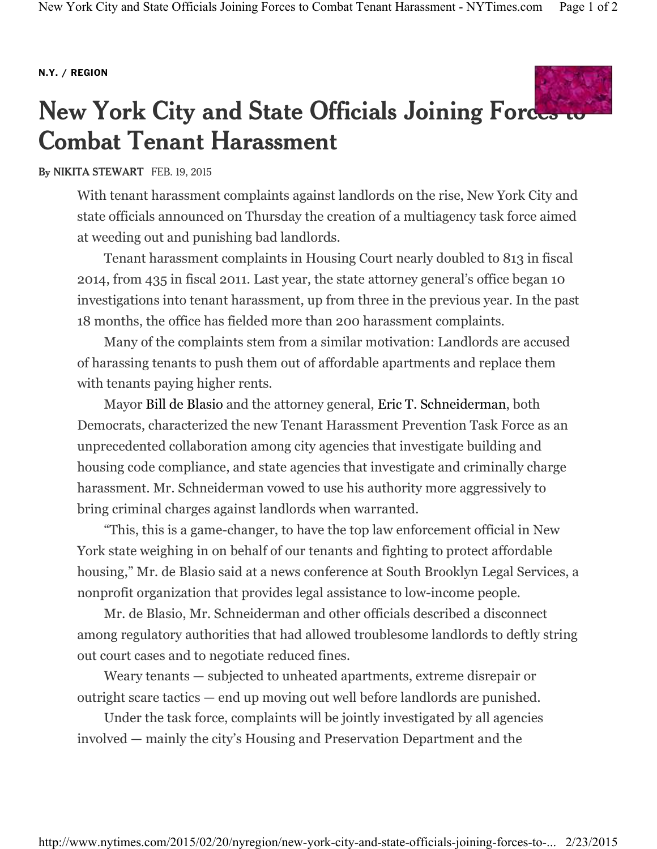## **N.Y. / REGION**



## **New York City and State Officials Joining Forces to Combat Tenant Harassment**

## **By NIKITA STEWART** FEB. 19, 2015

With tenant harassment complaints against landlords on the rise, New York City and state officials announced on Thursday the creation of a multiagency task force aimed at weeding out and punishing bad landlords.

Tenant harassment complaints in Housing Court nearly doubled to 813 in fiscal 2014, from 435 in fiscal 2011. Last year, the state attorney general's office began 10 investigations into tenant harassment, up from three in the previous year. In the past 18 months, the office has fielded more than 200 harassment complaints.

Many of the complaints stem from a similar motivation: Landlords are accused of harassing tenants to push them out of affordable apartments and replace them with tenants paying higher rents.

Mayor Bill de Blasio and the attorney general, Eric T. Schneiderman, both Democrats, characterized the new Tenant Harassment Prevention Task Force as an unprecedented collaboration among city agencies that investigate building and housing code compliance, and state agencies that investigate and criminally charge harassment. Mr. Schneiderman vowed to use his authority more aggressively to bring criminal charges against landlords when warranted.

"This, this is a game-changer, to have the top law enforcement official in New York state weighing in on behalf of our tenants and fighting to protect affordable housing," Mr. de Blasio said at a news conference at South Brooklyn Legal Services, a nonprofit organization that provides legal assistance to low-income people.

Mr. de Blasio, Mr. Schneiderman and other officials described a disconnect among regulatory authorities that had allowed troublesome landlords to deftly string out court cases and to negotiate reduced fines.

Weary tenants — subjected to unheated apartments, extreme disrepair or outright scare tactics — end up moving out well before landlords are punished.

Under the task force, complaints will be jointly investigated by all agencies involved — mainly the city's Housing and Preservation Department and the